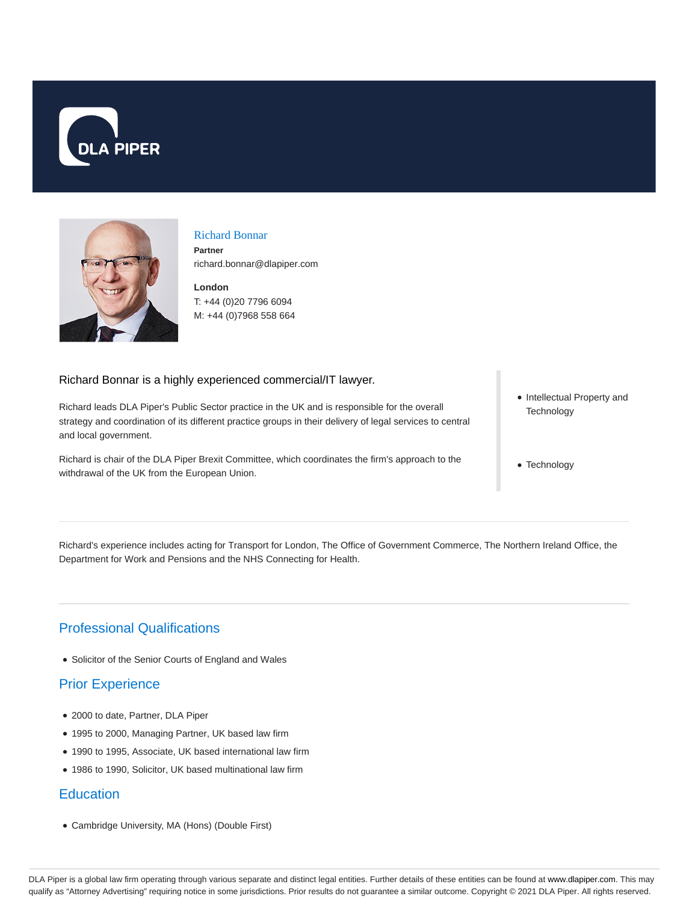



## Richard Bonnar **Partner**

richard.bonnar@dlapiper.com

**London** T: +44 (0)20 7796 6094 M: +44 (0)7968 558 664

### Richard Bonnar is a highly experienced commercial/IT lawyer.

Richard leads DLA Piper's Public Sector practice in the UK and is responsible for the overall strategy and coordination of its different practice groups in their delivery of legal services to central and local government.

Richard is chair of the DLA Piper Brexit Committee, which coordinates the firm's approach to the withdrawal of the UK from the European Union.

- Intellectual Property and **Technology**
- Technology

Richard's experience includes acting for Transport for London, The Office of Government Commerce, The Northern Ireland Office, the Department for Work and Pensions and the NHS Connecting for Health.

# Professional Qualifications

Solicitor of the Senior Courts of England and Wales

# Prior Experience

- 2000 to date, Partner, DLA Piper
- 1995 to 2000, Managing Partner, UK based law firm
- 1990 to 1995, Associate, UK based international law firm
- 1986 to 1990, Solicitor, UK based multinational law firm

## **Education**

Cambridge University, MA (Hons) (Double First)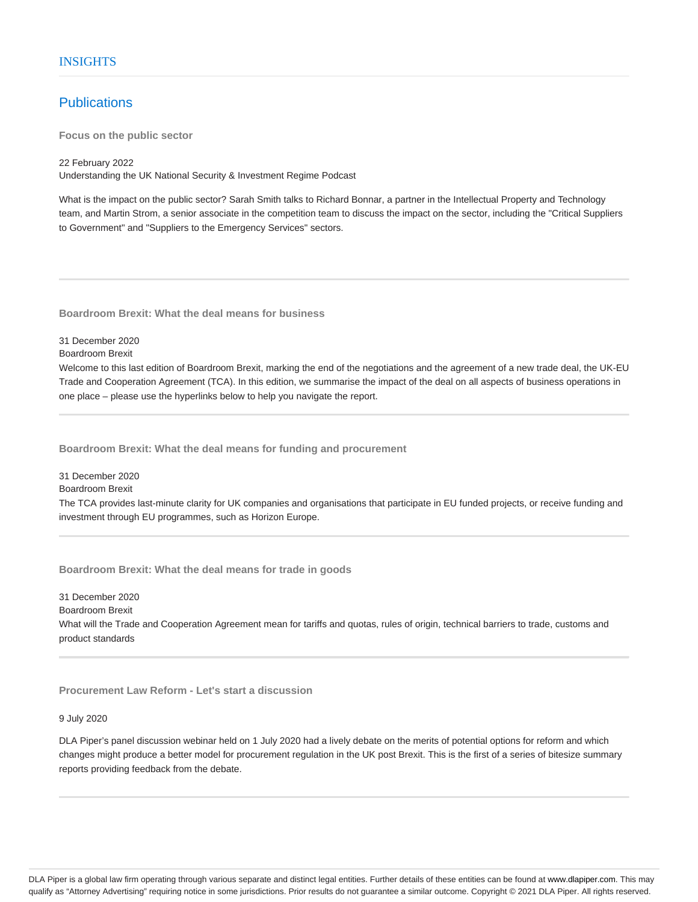### **Publications**

**Focus on the public sector**

#### 22 February 2022

Understanding the UK National Security & Investment Regime Podcast

What is the impact on the public sector? Sarah Smith talks to Richard Bonnar, a partner in the Intellectual Property and Technology team, and Martin Strom, a senior associate in the competition team to discuss the impact on the sector, including the "Critical Suppliers to Government" and "Suppliers to the Emergency Services" sectors.

**Boardroom Brexit: What the deal means for business**

#### 31 December 2020

Boardroom Brexit

Welcome to this last edition of Boardroom Brexit, marking the end of the negotiations and the agreement of a new trade deal, the UK-EU Trade and Cooperation Agreement (TCA). In this edition, we summarise the impact of the deal on all aspects of business operations in one place – please use the hyperlinks below to help you navigate the report.

**Boardroom Brexit: What the deal means for funding and procurement**

31 December 2020 Boardroom Brexit

The TCA provides last-minute clarity for UK companies and organisations that participate in EU funded projects, or receive funding and investment through EU programmes, such as Horizon Europe.

**Boardroom Brexit: What the deal means for trade in goods**

31 December 2020 Boardroom Brexit What will the Trade and Cooperation Agreement mean for tariffs and quotas, rules of origin, technical barriers to trade, customs and product standards

**Procurement Law Reform - Let's start a discussion**

9 July 2020

DLA Piper's panel discussion webinar held on 1 July 2020 had a lively debate on the merits of potential options for reform and which changes might produce a better model for procurement regulation in the UK post Brexit. This is the first of a series of bitesize summary reports providing feedback from the debate.

DLA Piper is a global law firm operating through various separate and distinct legal entities. Further details of these entities can be found at www.dlapiper.com. This may qualify as "Attorney Advertising" requiring notice in some jurisdictions. Prior results do not guarantee a similar outcome. Copyright @ 2021 DLA Piper. All rights reserved.